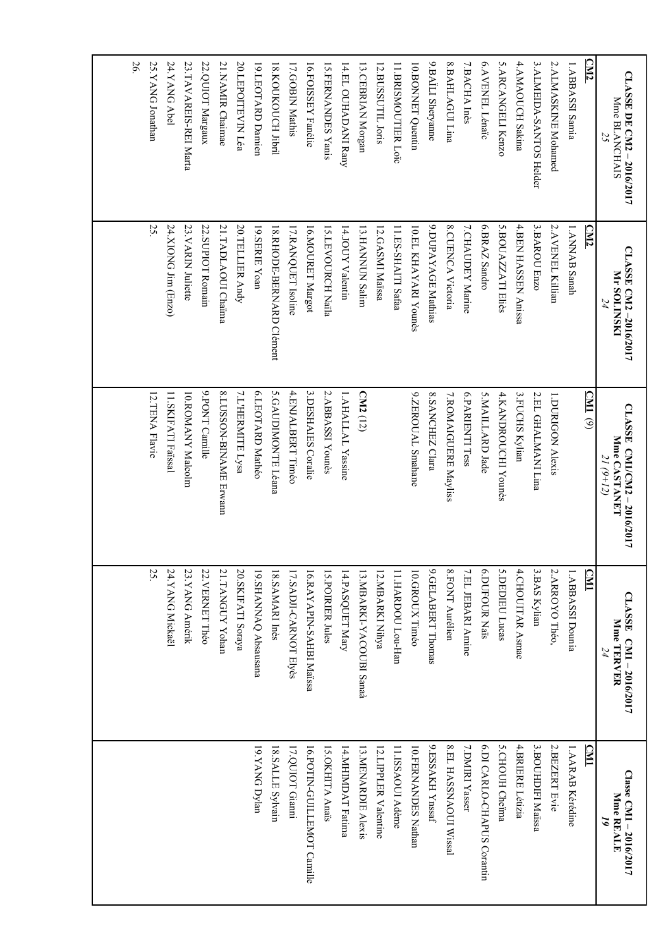| <b>CLASSE DE CM2-2016/2017</b> | CLASSE CM2-2016/2017     | CLASSE CM1/CM2-2016/2017   | CLASSE CM1-2016/2017          | Classe CM1 - 2016/2017     |
|--------------------------------|--------------------------|----------------------------|-------------------------------|----------------------------|
| <b>Mme BLANCHAIS</b><br>25     | <b>Mr SOLINSKI</b>       | Mme CASTANET<br>$21(9+12)$ | Mme TERVER<br>24              | Mme REALE<br>2             |
| <u>CM2</u>                     | <b>CM2</b>               | (TM)                       | <b>CM1</b>                    | <b>CM1</b>                 |
| 1.ABBASSI Samia                | 1. ANNAB Sanah           |                            | 1.ABBASSI Dounia              | 1. AARAB Kérédine          |
| 2. ALMASKINE Mohamed           | 2.AVENEL Killian         | 1.DURIGON Alexis           | 2. ARROYO Théo,               | 2. BEZERT Evie             |
| 3.ALMEIDA-SANTOS Helder        | 3.BAROU Enzo             | 2.EL GHALMANI Lina         | 3. BAS Kylian                 | 3. BOUHDIFI Maïssa         |
| 4.AMAOUCH Sakina               | 4.BEN HASSEN Anissa      | 3. FUCHS Kylian            | 4. CHOUITAR Asmae             | 4.BRIERE Létizia           |
| 5. ARCANGELI Kenzo             | 5.BOUAZZATI Eliès        | 4.KANDROUCHI Younès        | 5. DEDIEU Lucas               | 5.CHOUH Cheïma             |
| 6.AVENEL Lénaïc                | 6.BRAZ Sandro            | 5.MAILLARD Jade            | 6. DUFOUR Naïs                | 6.DI CARLO-CHAPUS Corantin |
| 7.BACHA Inès                   | 7.CHAUDEY Marine         | 6.PARIENTI Tess            | 7.EL JEBARI Amine             | 7.DMIRI Yasser             |
| 8.BAHLAGUI Lina                | 8.CUENCA Victoria        | 7.ROMAIGUERE Mayliss       | 8. FONT Aurélien              | 8.EL HASSNAOUI Wissal      |
| 9.BAÏLI Sheryanne              | 9.DUPAYAGE Mathias       | 8.SANCHEZ Clara            | 9.GELABERT Thomas             | 9.ESSAKH Ynssaf            |
| 10.BONNET Quentin              | 10. EL KHAYARI Younès    | 9.ZEROUAL Smahane          | 10. GROUX Timéo               | 10.FERNANDES Nathan        |
| 11. BRISMOUTIER Loro           | 11.ES-SHAITI Safaa       |                            | 11.HARDOU Lou-Han             | 11.ISSAOUI Adème           |
| 12.BUSSUTIL Joris              | 12.GASMI Maïssa          |                            | 12. MBARKI Nihya              | 12. LIPPLER Valentine      |
| 13. CEBRIAN Morgan             | 13. HANNUN Salim         | CM2 <sub>(12)</sub>        | 13. MBARKI-YACOUBI Sanaà      | 13.MENARDIE Alexis         |
| 14.EL OUHADANI Rany            | 14.JOUY Valentin         | 1.AHALLAL Yassine          | 14.PASQUET Mary               | 14.MHIMDAT Fatima          |
| 15.FERNANDES Yanis             | 15.LEVOURCH Naïla        | 2.ABBASSI Younès           | 15. POIRIER Jules             | 15.OKHITA Anaïs            |
| 16.FOISSEY Fanélie             | 16.MOURET Margot         | 3. DESHAIES Coralie        | 16.RAYAPIN-SAHBI Maïssa       | 16.POTIN-GUILLEMOT Camille |
| 17.GOBIN Mathis                | 17.RANQUET Isoline       | 4.ENJALBERT Timéo          | <b>17. SADJI-CARNOT Elyès</b> | 17.QUIOT Gianni            |
| 18. KOUKOUCH Jibril            | 18.RHODE-BERNARD Clément | 5.GAUDIMONTE Léana         | 18.SAMARI Inès                | 18.SALLE Sylvain           |
| 19.LEOTARD Damien              | 19.SERIE Yoan            | 6.LEOTARD Mathéo           | 19.SHANNAQ Absausana          | 19.YANG Dylan              |
| 20.LEPOITEVIN Léa              | 20. TELLIER Andy         | 7.L'HERMITE Lysa           | 20. SKIFATI Soraya            |                            |
| 21. NAMIR Chaimae              | 21.TADLAOUI Chaima       | 8.LUSSON-BINAME Erwann     | 21. TANGUY Yohan              |                            |
| 22. QUIOT Margaux              | 22.SUPIOT Romain         | 9.PONT Camille             | 22. VERNET Théo               |                            |
| 23.TAVAREIS-REI Marta          | 23. VARIN Juliette       | 10. ROMANY Malcolm         | 23. YANG Amérik               |                            |
| 24.YANG Abel                   | 24.XIONG Jim (Enzo)      | 11.SKIFATI Faïssal         | 24.YANG Mickaël               |                            |
| 25.YANG Jonathan               | 25.                      | 12.TENA Flavie             | 25                            |                            |
| 26.                            |                          |                            |                               |                            |
|                                |                          |                            |                               |                            |
|                                |                          |                            |                               |                            |